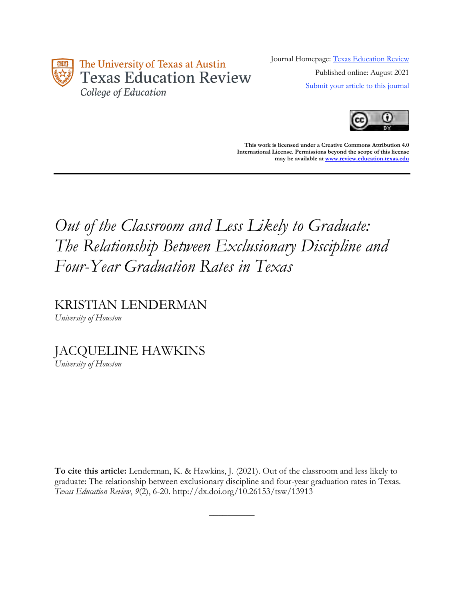

Journal Homepage: [Texas Education Review](https://review.education.utexas.edu/) Published online: August 2021 [Submit your article to this journal](https://review.education.utexas.edu/guidelines/)



**This work is licensed under a Creative Commons Attribution 4.0 International License. Permissions beyond the scope of this license may be available a[t www.review.education.texas.edu](http://www.review.education.texas.edu/)**

# *Out of the Classroom and Less Likely to Graduate: The Relationship Between Exclusionary Discipline and Four-Year Graduation Rates in Texas*

KRISTIAN LENDERMAN

*University of Houston*

JACQUELINE HAWKINS *University of Houston*

**To cite this article:** Lenderman, K. & Hawkins, J. (2021). Out of the classroom and less likely to graduate: The relationship between exclusionary discipline and four-year graduation rates in Texas*. Texas Education Review*, *9*(2), 6-20. http://dx.doi.org/10.26153/tsw/13913

 $\overline{\phantom{a}}$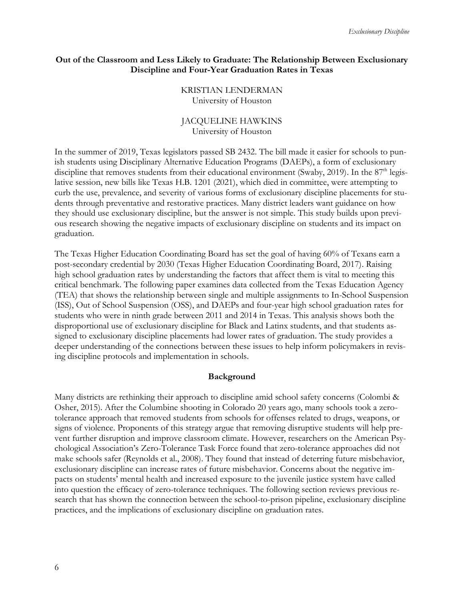#### **Out of the Classroom and Less Likely to Graduate: The Relationship Between Exclusionary Discipline and Four-Year Graduation Rates in Texas**

#### KRISTIAN LENDERMAN University of Houston

## JACQUELINE HAWKINS University of Houston

In the summer of 2019, Texas legislators passed SB 2432. The bill made it easier for schools to punish students using Disciplinary Alternative Education Programs (DAEPs), a form of exclusionary discipline that removes students from their educational environment (Swaby, 2019). In the 87<sup>th</sup> legislative session, new bills like Texas H.B. 1201 (2021), which died in committee, were attempting to curb the use, prevalence, and severity of various forms of exclusionary discipline placements for students through preventative and restorative practices. Many district leaders want guidance on how they should use exclusionary discipline, but the answer is not simple. This study builds upon previous research showing the negative impacts of exclusionary discipline on students and its impact on graduation.

The Texas Higher Education Coordinating Board has set the goal of having 60% of Texans earn a post-secondary credential by 2030 (Texas Higher Education Coordinating Board, 2017). Raising high school graduation rates by understanding the factors that affect them is vital to meeting this critical benchmark. The following paper examines data collected from the Texas Education Agency (TEA) that shows the relationship between single and multiple assignments to In-School Suspension (ISS), Out of School Suspension (OSS), and DAEPs and four-year high school graduation rates for students who were in ninth grade between 2011 and 2014 in Texas. This analysis shows both the disproportional use of exclusionary discipline for Black and Latinx students, and that students assigned to exclusionary discipline placements had lower rates of graduation. The study provides a deeper understanding of the connections between these issues to help inform policymakers in revising discipline protocols and implementation in schools.

## **Background**

Many districts are rethinking their approach to discipline amid school safety concerns (Colombi & Osher, 2015). After the Columbine shooting in Colorado 20 years ago, many schools took a zerotolerance approach that removed students from schools for offenses related to drugs, weapons, or signs of violence. Proponents of this strategy argue that removing disruptive students will help prevent further disruption and improve classroom climate. However, researchers on the American Psychological Association's Zero-Tolerance Task Force found that zero-tolerance approaches did not make schools safer (Reynolds et al., 2008). They found that instead of deterring future misbehavior, exclusionary discipline can increase rates of future misbehavior. Concerns about the negative impacts on students' mental health and increased exposure to the juvenile justice system have called into question the efficacy of zero-tolerance techniques. The following section reviews previous research that has shown the connection between the school-to-prison pipeline, exclusionary discipline practices, and the implications of exclusionary discipline on graduation rates.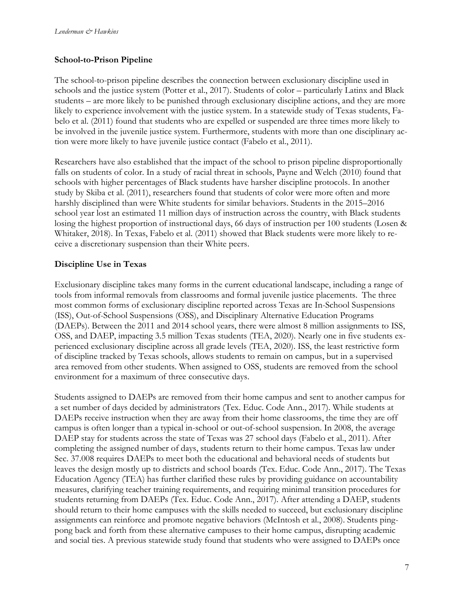# **School-to-Prison Pipeline**

The school-to-prison pipeline describes the connection between exclusionary discipline used in schools and the justice system (Potter et al., 2017). Students of color – particularly Latinx and Black students – are more likely to be punished through exclusionary discipline actions, and they are more likely to experience involvement with the justice system. In a statewide study of Texas students, Fabelo et al. (2011) found that students who are expelled or suspended are three times more likely to be involved in the juvenile justice system. Furthermore, students with more than one disciplinary action were more likely to have juvenile justice contact (Fabelo et al., 2011).

Researchers have also established that the impact of the school to prison pipeline disproportionally falls on students of color. In a study of racial threat in schools, Payne and Welch (2010) found that schools with higher percentages of Black students have harsher discipline protocols. In another study by Skiba et al. (2011), researchers found that students of color were more often and more harshly disciplined than were White students for similar behaviors. Students in the 2015–2016 school year lost an estimated 11 million days of instruction across the country, with Black students losing the highest proportion of instructional days, 66 days of instruction per 100 students (Losen & Whitaker, 2018). In Texas, Fabelo et al. (2011) showed that Black students were more likely to receive a discretionary suspension than their White peers.

# **Discipline Use in Texas**

Exclusionary discipline takes many forms in the current educational landscape, including a range of tools from informal removals from classrooms and formal juvenile justice placements. The three most common forms of exclusionary discipline reported across Texas are In-School Suspensions (ISS), Out-of-School Suspensions (OSS), and Disciplinary Alternative Education Programs (DAEPs). Between the 2011 and 2014 school years, there were almost 8 million assignments to ISS, OSS, and DAEP, impacting 3.5 million Texas students (TEA, 2020). Nearly one in five students experienced exclusionary discipline across all grade levels (TEA, 2020). ISS, the least restrictive form of discipline tracked by Texas schools, allows students to remain on campus, but in a supervised area removed from other students. When assigned to OSS, students are removed from the school environment for a maximum of three consecutive days.

Students assigned to DAEPs are removed from their home campus and sent to another campus for a set number of days decided by administrators (Tex. Educ. Code Ann., 2017). While students at DAEPs receive instruction when they are away from their home classrooms, the time they are off campus is often longer than a typical in-school or out-of-school suspension. In 2008, the average DAEP stay for students across the state of Texas was 27 school days (Fabelo et al., 2011). After completing the assigned number of days, students return to their home campus. Texas law under Sec. 37.008 requires DAEPs to meet both the educational and behavioral needs of students but leaves the design mostly up to districts and school boards (Tex. Educ. Code Ann., 2017). The Texas Education Agency (TEA) has further clarified these rules by providing guidance on accountability measures, clarifying teacher training requirements, and requiring minimal transition procedures for students returning from DAEPs (Tex. Educ. Code Ann., 2017). After attending a DAEP, students should return to their home campuses with the skills needed to succeed, but exclusionary discipline assignments can reinforce and promote negative behaviors (McIntosh et al., 2008). Students pingpong back and forth from these alternative campuses to their home campus, disrupting academic and social ties. A previous statewide study found that students who were assigned to DAEPs once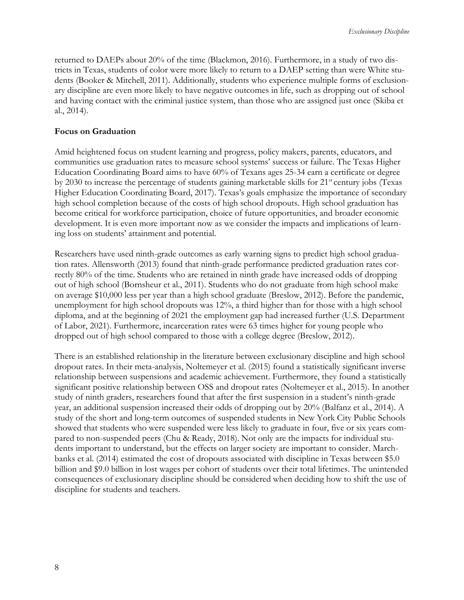returned to DAEPs about 20% of the time (Blackmon, 2016). Furthermore, in a study of two districts in Texas, students of color were more likely to return to a DAEP setting than were White students (Booker & Mitchell, 2011). Additionally, students who experience multiple forms of exclusionary discipline are even more likely to have negative outcomes in life, such as dropping out of school and having contact with the criminal justice system, than those who are assigned just once (Skiba et al., 2014).

#### **Focus on Graduation**

Amid heightened focus on student learning and progress, policy makers, parents, educators, and communities use graduation rates to measure school systems' success or failure. The Texas Higher Education Coordinating Board aims to have 60% of Texans ages 25-34 earn a certificate or degree by 2030 to increase the percentage of students gaining marketable skills for 21<sup>st</sup> century jobs (Texas Higher Education Coordinating Board, 2017). Texas's goals emphasize the importance of secondary high school completion because of the costs of high school dropouts. High school graduation has become critical for workforce participation, choice of future opportunities, and broader economic development. It is even more important now as we consider the impacts and implications of learning loss on students' attainment and potential.

Researchers have used ninth-grade outcomes as early warning signs to predict high school graduation rates. Allensworth (2013) found that ninth-grade performance predicted graduation rates correctly 80% of the time. Students who are retained in ninth grade have increased odds of dropping out of high school (Bornsheur et al., 2011). Students who do not graduate from high school make on average \$10,000 less per year than a high school graduate (Breslow, 2012). Before the pandemic, unemployment for high school dropouts was 12%, a third higher than for those with a high school diploma, and at the beginning of 2021 the employment gap had increased further (U.S. Department of Labor, 2021). Furthermore, incarceration rates were 63 times higher for young people who dropped out of high school compared to those with a college degree (Breslow, 2012).

There is an established relationship in the literature between exclusionary discipline and high school dropout rates. In their meta-analysis, Noltemeyer et al. (2015) found a statistically significant inverse relationship between suspensions and academic achievement. Furthermore, they found a statistically significant positive relationship between OSS and dropout rates (Noltemeyer et al., 2015). In another study of ninth graders, researchers found that after the first suspension in a student's ninth-grade year, an additional suspension increased their odds of dropping out by 20% (Balfanz et al., 2014). A study of the short and long-term outcomes of suspended students in New York City Public Schools showed that students who were suspended were less likely to graduate in four, five or six years compared to non-suspended peers (Chu & Ready, 2018). Not only are the impacts for individual students important to understand, but the effects on larger society are important to consider. Marchbanks et al. (2014) estimated the cost of dropouts associated with discipline in Texas between \$5.0 billion and \$9.0 billion in lost wages per cohort of students over their total lifetimes. The unintended consequences of exclusionary discipline should be considered when deciding how to shift the use of discipline for students and teachers.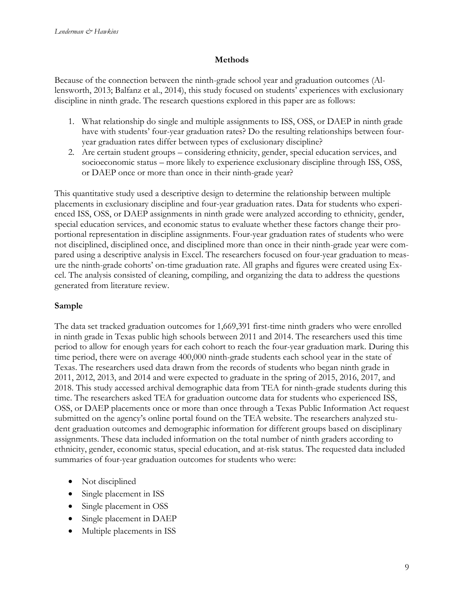#### **Methods**

Because of the connection between the ninth-grade school year and graduation outcomes (Allensworth, 2013; Balfanz et al., 2014), this study focused on students' experiences with exclusionary discipline in ninth grade. The research questions explored in this paper are as follows:

- 1. What relationship do single and multiple assignments to ISS, OSS, or DAEP in ninth grade have with students' four-year graduation rates? Do the resulting relationships between fouryear graduation rates differ between types of exclusionary discipline?
- 2. Are certain student groups considering ethnicity, gender, special education services, and socioeconomic status – more likely to experience exclusionary discipline through ISS, OSS, or DAEP once or more than once in their ninth-grade year?

This quantitative study used a descriptive design to determine the relationship between multiple placements in exclusionary discipline and four-year graduation rates. Data for students who experienced ISS, OSS, or DAEP assignments in ninth grade were analyzed according to ethnicity, gender, special education services, and economic status to evaluate whether these factors change their proportional representation in discipline assignments. Four-year graduation rates of students who were not disciplined, disciplined once, and disciplined more than once in their ninth-grade year were compared using a descriptive analysis in Excel. The researchers focused on four-year graduation to measure the ninth-grade cohorts' on-time graduation rate. All graphs and figures were created using Excel. The analysis consisted of cleaning, compiling, and organizing the data to address the questions generated from literature review.

# **Sample**

The data set tracked graduation outcomes for 1,669,391 first-time ninth graders who were enrolled in ninth grade in Texas public high schools between 2011 and 2014. The researchers used this time period to allow for enough years for each cohort to reach the four-year graduation mark. During this time period, there were on average 400,000 ninth-grade students each school year in the state of Texas. The researchers used data drawn from the records of students who began ninth grade in 2011, 2012, 2013, and 2014 and were expected to graduate in the spring of 2015, 2016, 2017, and 2018. This study accessed archival demographic data from TEA for ninth-grade students during this time. The researchers asked TEA for graduation outcome data for students who experienced ISS, OSS, or DAEP placements once or more than once through a Texas Public Information Act request submitted on the agency's online portal found on the TEA website. The researchers analyzed student graduation outcomes and demographic information for different groups based on disciplinary assignments. These data included information on the total number of ninth graders according to ethnicity, gender, economic status, special education, and at-risk status. The requested data included summaries of four-year graduation outcomes for students who were:

- Not disciplined
- Single placement in ISS
- Single placement in OSS
- Single placement in DAEP
- Multiple placements in ISS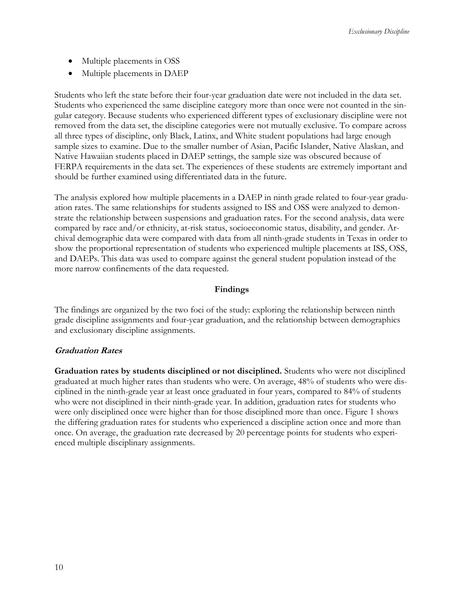- Multiple placements in OSS
- Multiple placements in DAEP

Students who left the state before their four-year graduation date were not included in the data set. Students who experienced the same discipline category more than once were not counted in the singular category. Because students who experienced different types of exclusionary discipline were not removed from the data set, the discipline categories were not mutually exclusive. To compare across all three types of discipline, only Black, Latinx, and White student populations had large enough sample sizes to examine. Due to the smaller number of Asian, Pacific Islander, Native Alaskan, and Native Hawaiian students placed in DAEP settings, the sample size was obscured because of FERPA requirements in the data set. The experiences of these students are extremely important and should be further examined using differentiated data in the future.

The analysis explored how multiple placements in a DAEP in ninth grade related to four-year graduation rates. The same relationships for students assigned to ISS and OSS were analyzed to demonstrate the relationship between suspensions and graduation rates. For the second analysis, data were compared by race and/or ethnicity, at-risk status, socioeconomic status, disability, and gender. Archival demographic data were compared with data from all ninth-grade students in Texas in order to show the proportional representation of students who experienced multiple placements at ISS, OSS, and DAEPs. This data was used to compare against the general student population instead of the more narrow confinements of the data requested.

## **Findings**

The findings are organized by the two foci of the study: exploring the relationship between ninth grade discipline assignments and four-year graduation, and the relationship between demographics and exclusionary discipline assignments.

## **Graduation Rates**

**Graduation rates by students disciplined or not disciplined.** Students who were not disciplined graduated at much higher rates than students who were. On average, 48% of students who were disciplined in the ninth-grade year at least once graduated in four years, compared to 84% of students who were not disciplined in their ninth-grade year. In addition, graduation rates for students who were only disciplined once were higher than for those disciplined more than once. Figure 1 shows the differing graduation rates for students who experienced a discipline action once and more than once. On average, the graduation rate decreased by 20 percentage points for students who experienced multiple disciplinary assignments.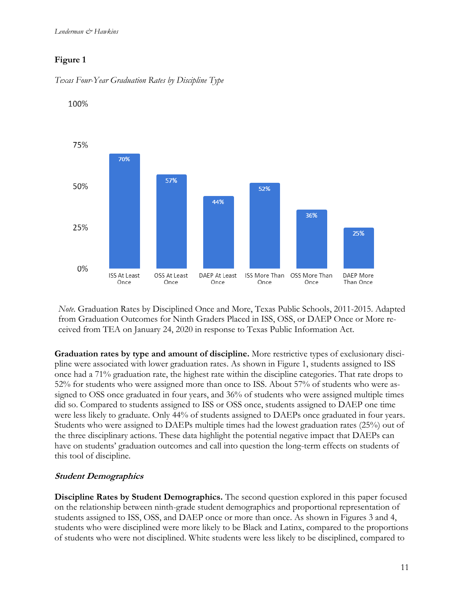*Lenderman & Hawkins*

# **Figure 1**





100%

*Note*. Graduation Rates by Disciplined Once and More, Texas Public Schools, 2011-2015. Adapted from Graduation Outcomes for Ninth Graders Placed in ISS, OSS, or DAEP Once or More received from TEA on January 24, 2020 in response to Texas Public Information Act.

**Graduation rates by type and amount of discipline.** More restrictive types of exclusionary discipline were associated with lower graduation rates. As shown in Figure 1, students assigned to ISS once had a 71% graduation rate, the highest rate within the discipline categories. That rate drops to 52% for students who were assigned more than once to ISS. About 57% of students who were assigned to OSS once graduated in four years, and 36% of students who were assigned multiple times did so. Compared to students assigned to ISS or OSS once, students assigned to DAEP one time were less likely to graduate. Only 44% of students assigned to DAEPs once graduated in four years. Students who were assigned to DAEPs multiple times had the lowest graduation rates (25%) out of the three disciplinary actions. These data highlight the potential negative impact that DAEPs can have on students' graduation outcomes and call into question the long-term effects on students of this tool of discipline.

# **Student Demographics**

**Discipline Rates by Student Demographics.** The second question explored in this paper focused on the relationship between ninth-grade student demographics and proportional representation of students assigned to ISS, OSS, and DAEP once or more than once. As shown in Figures 3 and 4, students who were disciplined were more likely to be Black and Latinx, compared to the proportions of students who were not disciplined. White students were less likely to be disciplined, compared to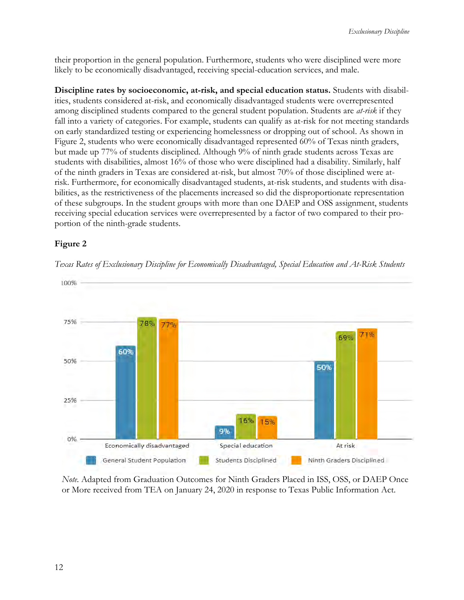their proportion in the general population. Furthermore, students who were disciplined were more likely to be economically disadvantaged, receiving special-education services, and male.

**Discipline rates by socioeconomic, at-risk, and special education status.** Students with disabilities, students considered at-risk, and economically disadvantaged students were overrepresented among disciplined students compared to the general student population. Students are *at-risk* if they fall into a variety of categories. For example, students can qualify as at-risk for not meeting standards on early standardized testing or experiencing homelessness or dropping out of school. As shown in Figure 2, students who were economically disadvantaged represented 60% of Texas ninth graders, but made up 77% of students disciplined. Although 9% of ninth grade students across Texas are students with disabilities, almost 16% of those who were disciplined had a disability. Similarly, half of the ninth graders in Texas are considered at-risk, but almost 70% of those disciplined were atrisk. Furthermore, for economically disadvantaged students, at-risk students, and students with disabilities, as the restrictiveness of the placements increased so did the disproportionate representation of these subgroups. In the student groups with more than one DAEP and OSS assignment, students receiving special education services were overrepresented by a factor of two compared to their proportion of the ninth-grade students.

# **Figure 2**



*Texas Rates of Exclusionary Discipline for Economically Disadvantaged, Special Education and At-Risk Students*

*Note.* Adapted from Graduation Outcomes for Ninth Graders Placed in ISS, OSS, or DAEP Once or More received from TEA on January 24, 2020 in response to Texas Public Information Act.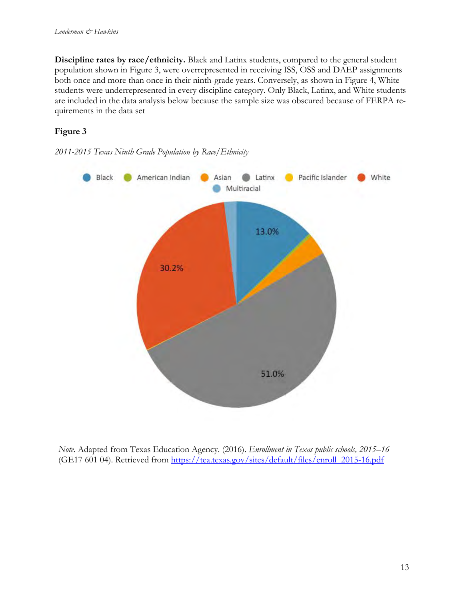**Discipline rates by race/ethnicity.** Black and Latinx students, compared to the general student population shown in Figure 3, were overrepresented in receiving ISS, OSS and DAEP assignments both once and more than once in their ninth-grade years. Conversely, as shown in Figure 4, White students were underrepresented in every discipline category. Only Black, Latinx, and White students are included in the data analysis below because the sample size was obscured because of FERPA requirements in the data set

# **Figure 3**





*Note.* Adapted from Texas Education Agency. (2016). *Enrollment in Texas public schools, 2015–16* (GE17 601 04). Retrieved from [https://tea.texas.gov/sites/default/files/enroll\\_2015-16.pdf](https://tea.texas.gov/sites/default/files/enroll_2015-16.pdf)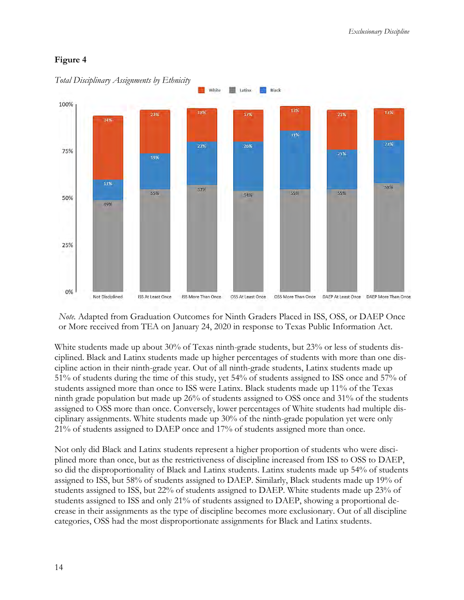# **Figure 4**



*Total Disciplinary Assignments by Ethnicity* 

*Note.* Adapted from Graduation Outcomes for Ninth Graders Placed in ISS, OSS, or DAEP Once or More received from TEA on January 24, 2020 in response to Texas Public Information Act.

White students made up about 30% of Texas ninth-grade students, but 23% or less of students disciplined. Black and Latinx students made up higher percentages of students with more than one discipline action in their ninth-grade year. Out of all ninth-grade students, Latinx students made up 51% of students during the time of this study, yet 54% of students assigned to ISS once and 57% of students assigned more than once to ISS were Latinx. Black students made up 11% of the Texas ninth grade population but made up 26% of students assigned to OSS once and 31% of the students assigned to OSS more than once. Conversely, lower percentages of White students had multiple disciplinary assignments. White students made up 30% of the ninth-grade population yet were only 21% of students assigned to DAEP once and 17% of students assigned more than once.

Not only did Black and Latinx students represent a higher proportion of students who were disciplined more than once, but as the restrictiveness of discipline increased from ISS to OSS to DAEP, so did the disproportionality of Black and Latinx students. Latinx students made up 54% of students assigned to ISS, but 58% of students assigned to DAEP. Similarly, Black students made up 19% of students assigned to ISS, but 22% of students assigned to DAEP. White students made up 23% of students assigned to ISS and only 21% of students assigned to DAEP, showing a proportional decrease in their assignments as the type of discipline becomes more exclusionary. Out of all discipline categories, OSS had the most disproportionate assignments for Black and Latinx students.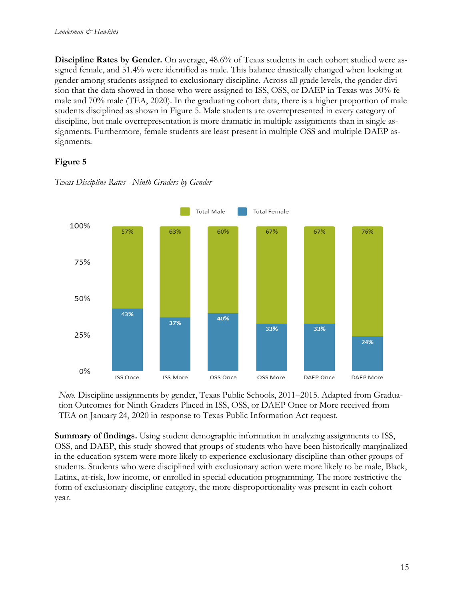**Discipline Rates by Gender.** On average, 48.6% of Texas students in each cohort studied were assigned female, and 51.4% were identified as male. This balance drastically changed when looking at gender among students assigned to exclusionary discipline. Across all grade levels, the gender division that the data showed in those who were assigned to ISS, OSS, or DAEP in Texas was 30% female and 70% male (TEA, 2020). In the graduating cohort data, there is a higher proportion of male students disciplined as shown in Figure 5. Male students are overrepresented in every category of discipline, but male overrepresentation is more dramatic in multiple assignments than in single assignments. Furthermore, female students are least present in multiple OSS and multiple DAEP assignments.

# **Figure 5**



*Texas Discipline Rates - Ninth Graders by Gender*

*Note.* Discipline assignments by gender, Texas Public Schools, 2011–2015. Adapted from Graduation Outcomes for Ninth Graders Placed in ISS, OSS, or DAEP Once or More received from TEA on January 24, 2020 in response to Texas Public Information Act request.

**Summary of findings.** Using student demographic information in analyzing assignments to ISS, OSS, and DAEP, this study showed that groups of students who have been historically marginalized in the education system were more likely to experience exclusionary discipline than other groups of students. Students who were disciplined with exclusionary action were more likely to be male, Black, Latinx, at-risk, low income, or enrolled in special education programming. The more restrictive the form of exclusionary discipline category, the more disproportionality was present in each cohort year.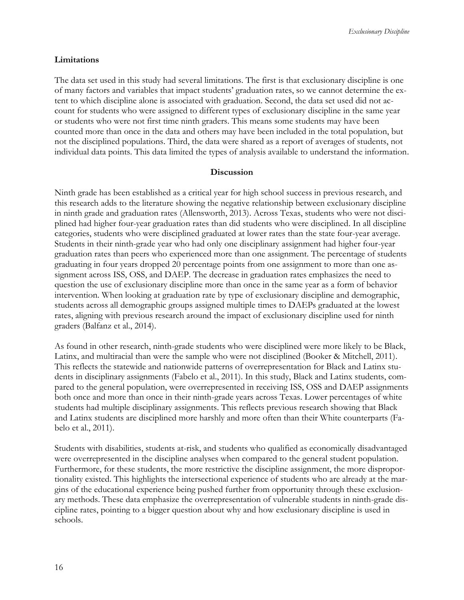#### **Limitations**

The data set used in this study had several limitations. The first is that exclusionary discipline is one of many factors and variables that impact students' graduation rates, so we cannot determine the extent to which discipline alone is associated with graduation. Second, the data set used did not account for students who were assigned to different types of exclusionary discipline in the same year or students who were not first time ninth graders. This means some students may have been counted more than once in the data and others may have been included in the total population, but not the disciplined populations. Third, the data were shared as a report of averages of students, not individual data points. This data limited the types of analysis available to understand the information.

#### **Discussion**

Ninth grade has been established as a critical year for high school success in previous research, and this research adds to the literature showing the negative relationship between exclusionary discipline in ninth grade and graduation rates (Allensworth, 2013). Across Texas, students who were not disciplined had higher four-year graduation rates than did students who were disciplined. In all discipline categories, students who were disciplined graduated at lower rates than the state four-year average. Students in their ninth-grade year who had only one disciplinary assignment had higher four-year graduation rates than peers who experienced more than one assignment. The percentage of students graduating in four years dropped 20 percentage points from one assignment to more than one assignment across ISS, OSS, and DAEP. The decrease in graduation rates emphasizes the need to question the use of exclusionary discipline more than once in the same year as a form of behavior intervention. When looking at graduation rate by type of exclusionary discipline and demographic, students across all demographic groups assigned multiple times to DAEPs graduated at the lowest rates, aligning with previous research around the impact of exclusionary discipline used for ninth graders (Balfanz et al., 2014).

As found in other research, ninth-grade students who were disciplined were more likely to be Black, Latinx, and multiracial than were the sample who were not disciplined (Booker & Mitchell, 2011). This reflects the statewide and nationwide patterns of overrepresentation for Black and Latinx students in disciplinary assignments (Fabelo et al., 2011). In this study, Black and Latinx students, compared to the general population, were overrepresented in receiving ISS, OSS and DAEP assignments both once and more than once in their ninth-grade years across Texas. Lower percentages of white students had multiple disciplinary assignments. This reflects previous research showing that Black and Latinx students are disciplined more harshly and more often than their White counterparts (Fabelo et al., 2011).

Students with disabilities, students at-risk, and students who qualified as economically disadvantaged were overrepresented in the discipline analyses when compared to the general student population. Furthermore, for these students, the more restrictive the discipline assignment, the more disproportionality existed. This highlights the intersectional experience of students who are already at the margins of the educational experience being pushed further from opportunity through these exclusionary methods. These data emphasize the overrepresentation of vulnerable students in ninth-grade discipline rates, pointing to a bigger question about why and how exclusionary discipline is used in schools.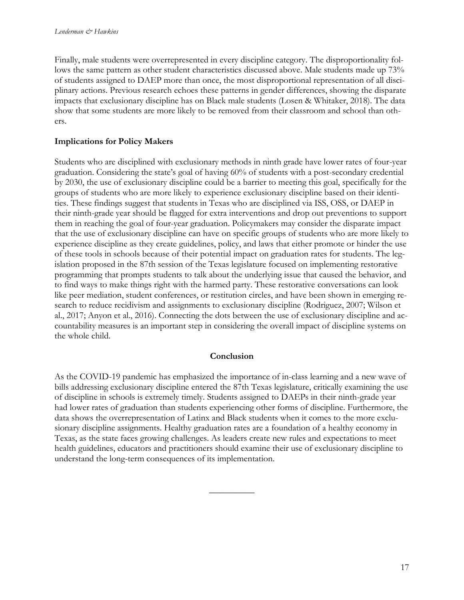Finally, male students were overrepresented in every discipline category. The disproportionality follows the same pattern as other student characteristics discussed above. Male students made up 73% of students assigned to DAEP more than once, the most disproportional representation of all disciplinary actions. Previous research echoes these patterns in gender differences, showing the disparate impacts that exclusionary discipline has on Black male students (Losen & Whitaker, 2018). The data show that some students are more likely to be removed from their classroom and school than others.

# **Implications for Policy Makers**

Students who are disciplined with exclusionary methods in ninth grade have lower rates of four-year graduation. Considering the state's goal of having 60% of students with a post-secondary credential by 2030, the use of exclusionary discipline could be a barrier to meeting this goal, specifically for the groups of students who are more likely to experience exclusionary discipline based on their identities. These findings suggest that students in Texas who are disciplined via ISS, OSS, or DAEP in their ninth-grade year should be flagged for extra interventions and drop out preventions to support them in reaching the goal of four-year graduation. Policymakers may consider the disparate impact that the use of exclusionary discipline can have on specific groups of students who are more likely to experience discipline as they create guidelines, policy, and laws that either promote or hinder the use of these tools in schools because of their potential impact on graduation rates for students. The legislation proposed in the 87th session of the Texas legislature focused on implementing restorative programming that prompts students to talk about the underlying issue that caused the behavior, and to find ways to make things right with the harmed party. These restorative conversations can look like peer mediation, student conferences, or restitution circles, and have been shown in emerging research to reduce recidivism and assignments to exclusionary discipline (Rodriguez, 2007; Wilson et al., 2017; Anyon et al., 2016). Connecting the dots between the use of exclusionary discipline and accountability measures is an important step in considering the overall impact of discipline systems on the whole child.

## **Conclusion**

As the COVID-19 pandemic has emphasized the importance of in-class learning and a new wave of bills addressing exclusionary discipline entered the 87th Texas legislature, critically examining the use of discipline in schools is extremely timely. Students assigned to DAEPs in their ninth-grade year had lower rates of graduation than students experiencing other forms of discipline. Furthermore, the data shows the overrepresentation of Latinx and Black students when it comes to the more exclusionary discipline assignments. Healthy graduation rates are a foundation of a healthy economy in Texas, as the state faces growing challenges. As leaders create new rules and expectations to meet health guidelines, educators and practitioners should examine their use of exclusionary discipline to understand the long-term consequences of its implementation.

 $\overline{\phantom{a}}$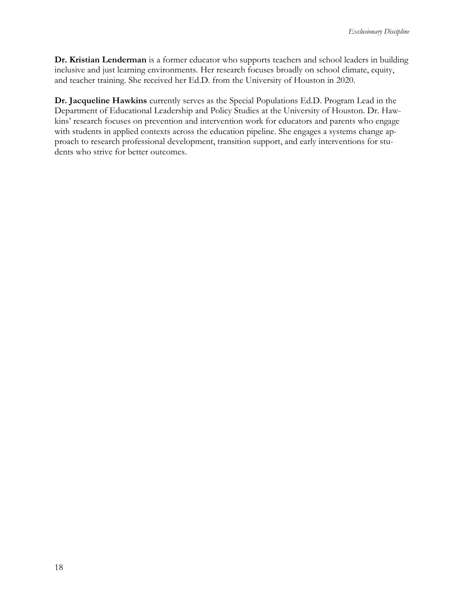**Dr. Kristian Lenderman** is a former educator who supports teachers and school leaders in building inclusive and just learning environments. Her research focuses broadly on school climate, equity, and teacher training. She received her Ed.D. from the University of Houston in 2020.

**Dr. Jacqueline Hawkins** currently serves as the Special Populations Ed.D. Program Lead in the Department of Educational Leadership and Policy Studies at the University of Houston. Dr. Hawkins' research focuses on prevention and intervention work for educators and parents who engage with students in applied contexts across the education pipeline. She engages a systems change approach to research professional development, transition support, and early interventions for students who strive for better outcomes.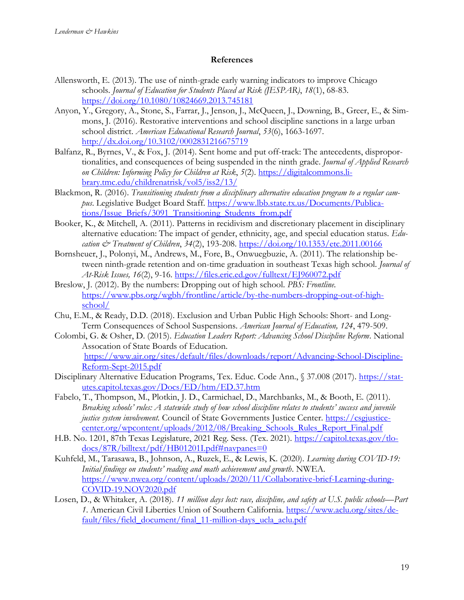#### **References**

- Allensworth, E. (2013). The use of ninth-grade early warning indicators to improve Chicago schools. *Journal of Education for Students Placed at Risk (JESPAR)*, *18*(1), 68-83. <https://doi.org/10.1080/10824669.2013.745181>
- Anyon, Y., Gregory, A., Stone, S., Farrar, J., Jenson, J., McQueen, J., Downing, B., Greer, E., & Simmons, J. (2016). Restorative interventions and school discipline sanctions in a large urban school district. *American Educational Research Journal*, *53*(6), 1663-1697. <http://dx.doi.org/10.3102/0002831216675719>
- Balfanz, R., Byrnes, V., & Fox, J. (2014). Sent home and put off-track: The antecedents, disproportionalities, and consequences of being suspended in the ninth grade. *Journal of Applied Research on Children: Informing Policy for Children at Risk*, *5*(2). [https://digitalcommons.li](https://digitalcommons.library.tmc.edu/childrenatrisk/vol5/iss2/13/)[brary.tmc.edu/childrenatrisk/vol5/iss2/13/](https://digitalcommons.library.tmc.edu/childrenatrisk/vol5/iss2/13/)
- Blackmon, R. (2016). *Transitioning students from a disciplinary alternative education program to a regular campus*. Legislative Budget Board Staff. [https://www.lbb.state.tx.us/Documents/Publica](https://www.lbb.state.tx.us/Documents/Publications/Issue_Briefs/3091_Transitioning_Students_from.pdf)[tions/Issue\\_Briefs/3091\\_Transitioning\\_Students\\_from.pdf](https://www.lbb.state.tx.us/Documents/Publications/Issue_Briefs/3091_Transitioning_Students_from.pdf)
- Booker, K., & Mitchell, A. (2011). Patterns in recidivism and discretionary placement in disciplinary alternative education: The impact of gender, ethnicity, age, and special education status. *Education & Treatment of Children*, *34*(2), 193-208. [https://doi.org/10.1353/etc.2011.00166](about:blank)
- Bornsheuer, J., Polonyi, M., Andrews, M., Fore, B., Onwuegbuzie, A. (2011). The relationship between ninth-grade retention and on-time graduation in southeast Texas high school. *Journal of At-Risk Issues, 16*(2), 9-16. <https://files.eric.ed.gov/fulltext/EJ960072.pdf>
- Breslow, J. (2012). By the numbers: Dropping out of high school. *PBS: Frontline.* [https://www.pbs.org/wgbh/frontline/article/by-the-numbers-dropping-out-of-high](https://www.pbs.org/wgbh/frontline/article/by-the-numbers-dropping-out-of-high-school/)[school/](https://www.pbs.org/wgbh/frontline/article/by-the-numbers-dropping-out-of-high-school/)
- Chu, E.M., & Ready, D.D. (2018). Exclusion and Urban Public High Schools: Short- and Long-Term Consequences of School Suspensions. *American Journal of Education, 124*, 479-509.
- Colombi, G. & Osher, D. (2015). *Education Leaders Report: Advancing School Discipline Reform*. National Assocation of State Boards of Education. [https://www.air.org/sites/default/files/downloads/report/Advancing-School-Discipline-](https://www.air.org/sites/default/files/downloads/report/Advancing-School-Discipline-Reform-Sept-2015.pdf)[Reform-Sept-2015.pdf](https://www.air.org/sites/default/files/downloads/report/Advancing-School-Discipline-Reform-Sept-2015.pdf)
- Disciplinary Alternative Education Programs, Tex. Educ. Code Ann., § 37.008 (2017). [https://stat](https://statutes.capitol.texas.gov/Docs/ED/htm/ED.37.htm)[utes.capitol.texas.gov/Docs/ED/htm/ED.37.htm](https://statutes.capitol.texas.gov/Docs/ED/htm/ED.37.htm)
- Fabelo, T., Thompson, M., Plotkin, J. D., Carmichael, D., Marchbanks, M., & Booth, E. (2011). *Breaking schools' rules: A statewide study of how school discipline relates to students' success and juvenile justice system involvement.* Council of State Governments Justice Center. [https://csgjustice](https://csgjusticecenter.org/wp-content/uploads/2012/08/Breaking_Schools_Rules_Report_Final.pdf)[center.org/wpcontent/uploads/2012/08/Breaking\\_Schools\\_Rules\\_Report\\_Final.pdf](https://csgjusticecenter.org/wp-content/uploads/2012/08/Breaking_Schools_Rules_Report_Final.pdf)
- H.B. No. 1201, 87th Texas Legislature, 2021 Reg. Sess. (Tex. 2021). [https://capitol.texas.gov/tlo](https://capitol.texas.gov/tlodocs/87R/billtext/pdf/HB01201I.pdf#navpanes=0)[docs/87R/billtext/pdf/HB01201I.pdf#navpanes=0](https://capitol.texas.gov/tlodocs/87R/billtext/pdf/HB01201I.pdf#navpanes=0)
- Kuhfeld, M., Tarasawa, B., Johnson, A., Ruzek, E., & Lewis, K. (2020). *Learning during COVID-19: Initial findings on students' reading and math achievement and growth*. NWEA. [https://www.nwea.org/content/uploads/2020/11/Collaborative-brief-Learning-during-](https://www.nwea.org/content/uploads/2020/11/Collaborative-brief-Learning-during-COVID-19.NOV2020.pdf)[COVID-19.NOV2020.pdf](https://www.nwea.org/content/uploads/2020/11/Collaborative-brief-Learning-during-COVID-19.NOV2020.pdf)
- Losen, D., & Whitaker, A. (2018). *11 million days lost: race, discipline, and safety at U.S. public schools—Part 1*. American Civil Liberties Union of Southern California. [https://www.aclu.org/sites/de](https://www.aclu.org/sites/default/files/field_document/final_11-million-days_ucla_aclu.pdf)[fault/files/field\\_document/final\\_11-million-days\\_ucla\\_aclu.pdf](https://www.aclu.org/sites/default/files/field_document/final_11-million-days_ucla_aclu.pdf)